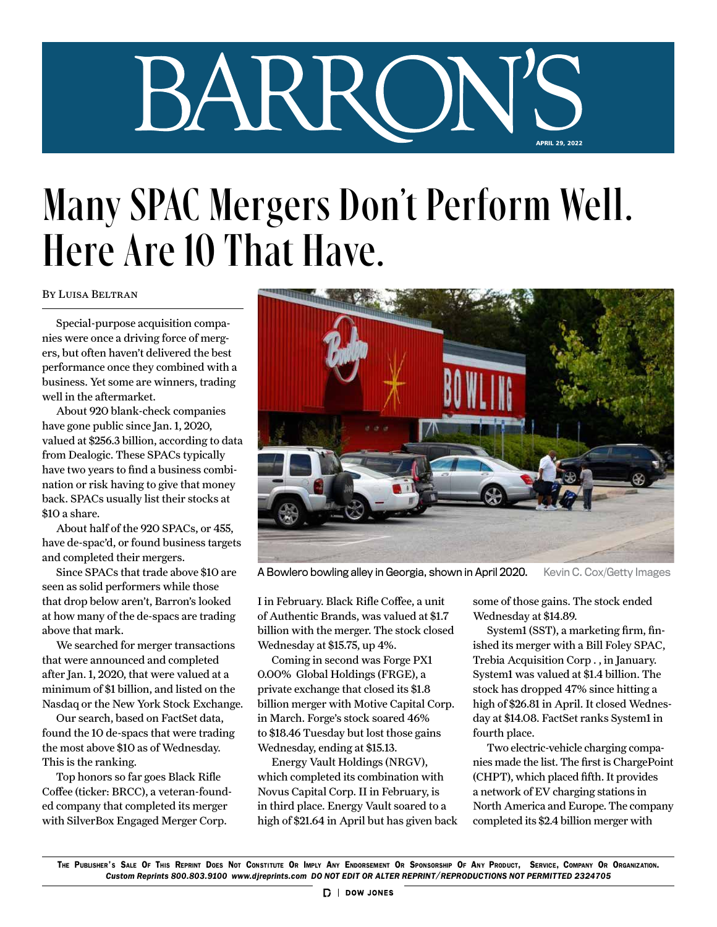## BARR APRIL 29, 2022

## Many SPAC Mergers Don't Perform Well. Here Are 10 That Have.

## By Luisa Beltran

Special-purpose acquisition companies were once a driving force of mergers, but often haven't delivered the best performance once they combined with a business. Yet some are winners, trading well in the aftermarket.

About 920 blank-check companies have gone public since Jan. 1, 2020, valued at \$256.3 billion, according to data from Dealogic. These SPACs typically have two years to find a business combination or risk having to give that money back. SPACs usually list their stocks at \$10 a share.

About half of the 920 SPACs, or 455, have de-spac'd, or found business targets and completed their mergers.

Since SPACs that trade above \$10 are seen as solid performers while those that drop below aren't, Barron's looked at how many of the de-spacs are trading above that mark.

We searched for merger transactions that were announced and completed after Jan. 1, 2020, that were valued at a minimum of \$1 billion, and listed on the Nasdaq or the New York Stock Exchange.

Our search, based on FactSet data, found the 10 de-spacs that were trading the most above \$10 as of Wednesday. This is the ranking.

Top honors so far goes Black Rifle Coffee (ticker: BRCC), a veteran-founded company that completed its merger with SilverBox Engaged Merger Corp.



A Bowlero bowling alley in Georgia, shown in April 2020. Kevin C. Cox/Getty Images

I in February. Black Rifle Coffee, a unit of Authentic Brands, was valued at \$1.7 billion with the merger. The stock closed Wednesday at \$15.75, up 4%.

Coming in second was Forge PX1 0.00% Global Holdings (FRGE), a private exchange that closed its \$1.8 billion merger with Motive Capital Corp. in March. Forge's stock soared 46% to \$18.46 Tuesday but lost those gains Wednesday, ending at \$15.13.

Energy Vault Holdings (NRGV), which completed its combination with Novus Capital Corp. II in February, is in third place. Energy Vault soared to a high of \$21.64 in April but has given back some of those gains. The stock ended Wednesday at \$14.89.

System1 (SST), a marketing firm, finished its merger with a Bill Foley SPAC, Trebia Acquisition Corp . , in January. System1 was valued at \$1.4 billion. The stock has dropped 47% since hitting a high of \$26.81 in April. It closed Wednesday at \$14.08. FactSet ranks System1 in fourth place.

Two electric-vehicle charging companies made the list. The first is ChargePoint (CHPT), which placed fifth. It provides a network of EV charging stations in North America and Europe. The company completed its \$2.4 billion merger with

The Publisher's Sale Of This Reprint Does Not Constitute Or Imply Any Endorsement Or Sponsorship Of Any Product, Service, Company Or Organization. *Custom Reprints 800.803.9100 www.djreprints.com DO NOT EDIT OR ALTER REPRINT/REPRODUCTIONS NOT PERMITTED 2324705*